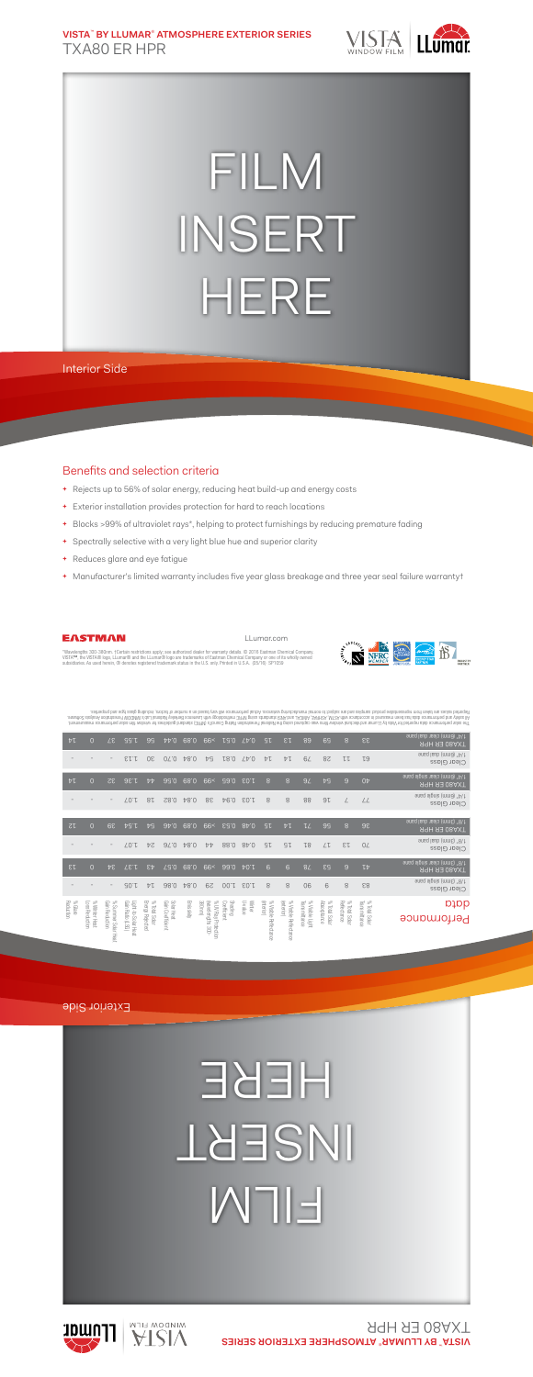**VISTA**™  **BY LLUMAR**® **ATMOSPHERE EXTERIOR SERIES** TXA80 ER HPR



## FILM INSERT HERE

Interior Side

## Benefits and selection criteria

- **+** Rejects up to 56% of solar energy, reducing heat build-up and energy costs
- **+** Exterior installation provides protection for hard to reach locations
- **+** Blocks >99% of ultraviolet rays\*, helping to protect furnishings by reducing premature fading
- **+** Spectrally selective with a very light blue hue and superior clarity
- **+** Reduces glare and eye fatigue
- **+** Manufacturer's limited warranty includes five year glass breakage and three year seal failure warranty†



LLumar.com



\*Wavelengths 300-380nm. †Certain restrictions apply; see authorized dealer for warranty details. © 2016 Eastman Chemical Company.<br>VISTA™, the VISTA® logo, LLumar® and the LLumar® logo are trademarks of Eastman Chemical Co subsidiaries. As used herein, ® denotes registered trademark status in the U.S. only. Printed in U.S.A. (05/16) SP1059